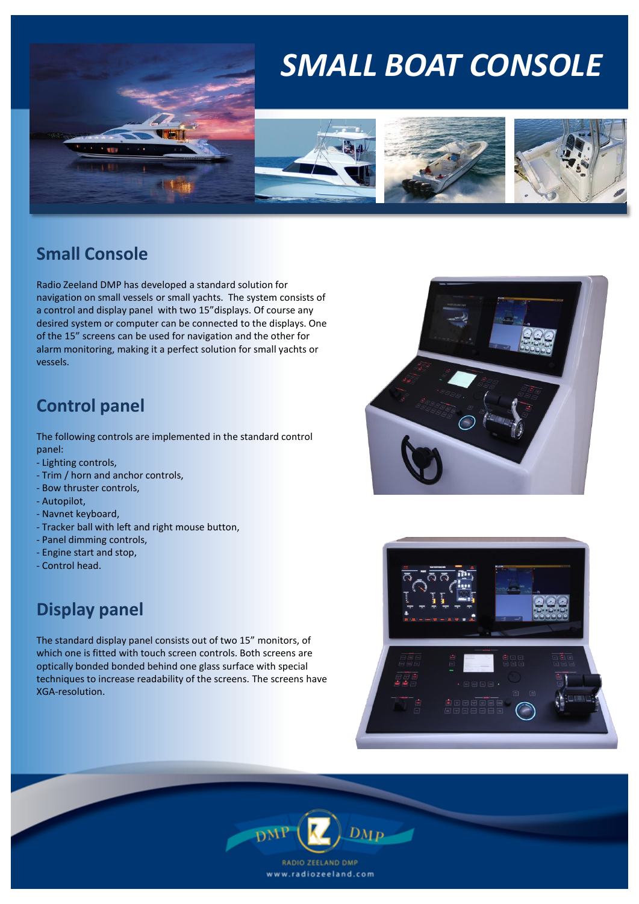# *SMALL BOAT CONSOLE*







## **Small Console**

Radio Zeeland DMP has developed a standard solution for navigation on small vessels or small yachts. The system consists of a control and display panel with two 15"displays. Of course any desired system or computer can be connected to the displays. One of the 15" screens can be used for navigation and the other for alarm monitoring, making it a perfect solution for small yachts or vessels.

**The State** 

## **Control panel**

The following controls are implemented in the standard control panel:

- Lighting controls,
- Trim / horn and anchor controls,
- Bow thruster controls,
- Autopilot,
- Navnet keyboard,
- Tracker ball with left and right mouse button,
- Panel dimming controls,
- Engine start and stop,
- Control head.

## **Display panel**

The standard display panel consists out of two 15" monitors, of which one is fitted with touch screen controls. Both screens are optically bonded bonded behind one glass surface with special techniques to increase readability of the screens. The screens have XGA-resolution.